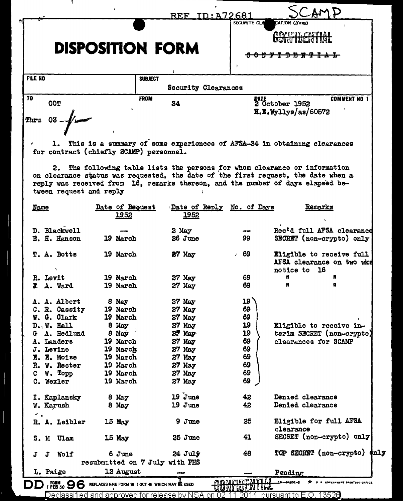|                                                                                  |                                             | <b>REF. ID: A72681</b>            | SECURITY CLA | CATION (If any)                                                                                                                                                                                                                                |
|----------------------------------------------------------------------------------|---------------------------------------------|-----------------------------------|--------------|------------------------------------------------------------------------------------------------------------------------------------------------------------------------------------------------------------------------------------------------|
|                                                                                  | <b>DISPOSITION FORM</b>                     |                                   |              | CONTILENTIAL<br>- <del>D-8 N-9</del>                                                                                                                                                                                                           |
|                                                                                  |                                             |                                   |              |                                                                                                                                                                                                                                                |
| <b>FILE NO</b>                                                                   | <b>SUBJECT</b>                              | <b>Security Clearances</b>        |              |                                                                                                                                                                                                                                                |
|                                                                                  | <b>FROM</b>                                 |                                   |              | <b>COMMENT NO 1</b>                                                                                                                                                                                                                            |
| <b>OOT</b>                                                                       |                                             | 34                                |              | DATE<br>2 October 1952<br>$\overline{\mathbf{R}}.\mathbf{E}.\mathbf{W}$ yllys/as/60572                                                                                                                                                         |
|                                                                                  | for contract (chiefly SCAMP) personnel.     |                                   |              | 1. This is a summary of some experiences of AFSA-34 in obtaining clearances<br>2. The following table lists the persons for whom clearance or information<br>on clearance status was requested, the date of the first request, the date when a |
| tween request and reply                                                          |                                             |                                   |              | reply was received from 16, remarks thereon, and the number of days elapsed be-                                                                                                                                                                |
| <b>Name</b>                                                                      | Date of Request<br>1952                     | Date of Reply No. of Days<br>1952 |              | Remarks                                                                                                                                                                                                                                        |
| D. Blackwell                                                                     |                                             | 2 May                             | --           | Rec'd full AFSA clearance                                                                                                                                                                                                                      |
| E. H. Hanson                                                                     | 19 March                                    | 26 June                           | 99           | SECRET (non-crypto) only                                                                                                                                                                                                                       |
| <b>T. A. Botts</b>                                                               | 19 March                                    | $27$ May                          | , 69         | Eligible to receive full<br>AFSA clearance on two wks<br>notice to 16                                                                                                                                                                          |
| R. Levit                                                                         | 19 March                                    | $27$ May                          | 69           |                                                                                                                                                                                                                                                |
| <b>J. A. Ward</b>                                                                | 19 March                                    | $27$ May                          | 69           |                                                                                                                                                                                                                                                |
| A. A. Albert                                                                     | 8 May                                       | 27 May                            | 19           |                                                                                                                                                                                                                                                |
| C. R. Cassity                                                                    | 19 March                                    | 27 May                            | 69           |                                                                                                                                                                                                                                                |
| W. G. Clark                                                                      | 19 March                                    | 27 May                            | 69           |                                                                                                                                                                                                                                                |
| D. W. Hall                                                                       | 8 May                                       | 27 May                            | 19           | Eligible to receive in-                                                                                                                                                                                                                        |
| A. Hedlund                                                                       | 8 May                                       | 27 May                            | 19           | terim SECRET (non-crypto)                                                                                                                                                                                                                      |
| A. Landers                                                                       | 19 March                                    | 27 May                            | 69           | clearances for SCAMP                                                                                                                                                                                                                           |
| J. Levine                                                                        | 19 March                                    | 27 May                            | 69           |                                                                                                                                                                                                                                                |
| E. E. Moise                                                                      | 19 March                                    | $27$ May                          | 69           |                                                                                                                                                                                                                                                |
| R. W. Recter                                                                     | 19 March                                    | $27$ May                          | 69           |                                                                                                                                                                                                                                                |
|                                                                                  | 19 March                                    | 27 May                            | 69           |                                                                                                                                                                                                                                                |
| W. Topp                                                                          |                                             |                                   |              |                                                                                                                                                                                                                                                |
|                                                                                  | 19 March                                    | $27$ May                          | 69           |                                                                                                                                                                                                                                                |
|                                                                                  |                                             |                                   |              |                                                                                                                                                                                                                                                |
|                                                                                  | 8 May                                       | $19$ $J$ une                      | 42           | Denied clearance                                                                                                                                                                                                                               |
|                                                                                  | 8 May                                       | 19 June                           | 42           | Denied clearance                                                                                                                                                                                                                               |
|                                                                                  |                                             |                                   | 25           |                                                                                                                                                                                                                                                |
|                                                                                  | 15 May                                      | 9Jme                              |              | Eligible for full AFSA<br>clearance                                                                                                                                                                                                            |
| c<br>C. Wexler<br>I. Kaplansky<br>W. Karush<br>~ .<br>R. A. Leibler<br>S. M Ulam | 15 May                                      | 25 June                           | 41           | SECRET (non-crypto) only                                                                                                                                                                                                                       |
| Wolf<br>л<br>Л                                                                   | 6 June                                      | $24$ $J$ uly                      | 48           | TOP SECRET (non-crypto)<br>$\phi$ nly                                                                                                                                                                                                          |
| L. Paige                                                                         | resubmitted on 7 July with PHS<br>12 August |                                   |              | Pending                                                                                                                                                                                                                                        |

Declassified and approved for release by NSA on 02-11-2014 pursuant to E.O. 13526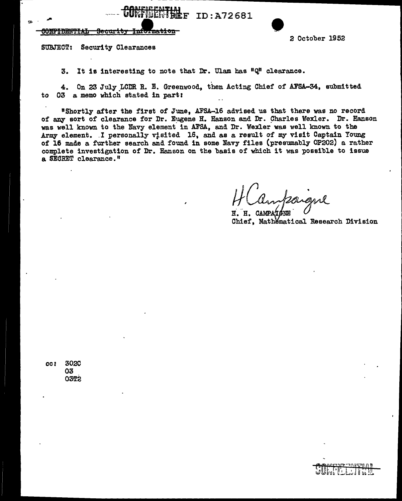----~~~~----------------------· COrtf-!HE~TMlF Secl%ri~J I~~ien ID:A72681 • 2 October 1952

## <del>honfe dhiiff al</del>

SUBJECT: Security Clearances

3. It is interesting to note that Dr. Ulam has "Q" clearance.

4. On 23 July LCDR R. E. Greenwood, then Acting Chief of AFSA-34, submitted to 03 a memo which stated in part:

"Shortly after the first of June, AFSA-16 advised us that there was no record of any sort of clearance for Dr. Eugene H. Hanson and Dr. Charles Wexler. Dr. Hanson was well known to the Navy element in AFSA, and Dr. Wexler was well known to the Army- element. I personally visited 16, and as a result of my visit Captain Young of 16 made a further search and found in some Navy- files (presumably OP202) a rather complete investigation of Dr. Hanson on the basis of which it was possible to issue a SEGRET clearance."

 $H($ 

H. H. CAMPATÉNE Chief, Mathematical Research Division

*cc:* 3020 03 03T2

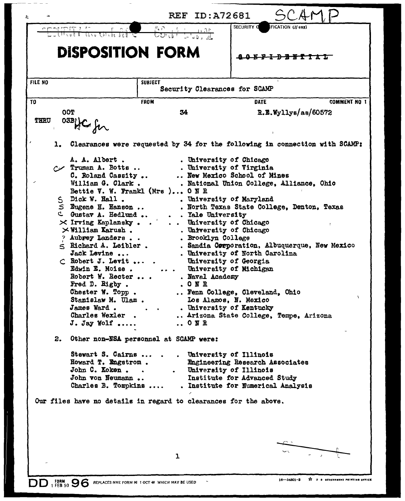|                                                                                                                                                                                                                                                                                                                                                                                                                                                                                         | <b>REF ID:A72681</b>                                                                                                                                                                                                                                                                                                                                                                                                                                                                                                                                                                  |                                                                                                                                                                                                                                                                                                                                                                                                                                                                               |
|-----------------------------------------------------------------------------------------------------------------------------------------------------------------------------------------------------------------------------------------------------------------------------------------------------------------------------------------------------------------------------------------------------------------------------------------------------------------------------------------|---------------------------------------------------------------------------------------------------------------------------------------------------------------------------------------------------------------------------------------------------------------------------------------------------------------------------------------------------------------------------------------------------------------------------------------------------------------------------------------------------------------------------------------------------------------------------------------|-------------------------------------------------------------------------------------------------------------------------------------------------------------------------------------------------------------------------------------------------------------------------------------------------------------------------------------------------------------------------------------------------------------------------------------------------------------------------------|
|                                                                                                                                                                                                                                                                                                                                                                                                                                                                                         | $\frac{\sum_{i=1}^{n} \sum_{j=1}^{n} \frac{1}{j} \sum_{j=1}^{n} \frac{1}{j}}{\sum_{i=1}^{n} \sum_{j=1}^{n} \frac{1}{j} \sum_{j=1}^{n} \frac{1}{j}}$<br>$\frac{1}{\sqrt{1+\frac{1}{2}}}\frac{1+\sqrt{1+\frac{1}{2}}}{\sqrt{1+\frac{1}{2}}}\frac{1}{\sqrt{1+\frac{1}{2}}}\frac{1}{\sqrt{1+\frac{1}{2}}}\frac{1}{\sqrt{1+\frac{1}{2}}}\frac{1}{\sqrt{1+\frac{1}{2}}}\frac{1}{\sqrt{1+\frac{1}{2}}}\frac{1}{\sqrt{1+\frac{1}{2}}}\frac{1}{\sqrt{1+\frac{1}{2}}}\frac{1}{\sqrt{1+\frac{1}{2}}}\frac{1}{\sqrt{1+\frac{1}{2}}}\frac{1}{\sqrt{1+\frac{1}{2}}}\frac{1}{\sqrt{1+\frac{1}{2}}}\$ | <b>SECURITY O</b><br>FICATION (If any)                                                                                                                                                                                                                                                                                                                                                                                                                                        |
| <b>DISPOSITION FORM</b>                                                                                                                                                                                                                                                                                                                                                                                                                                                                 |                                                                                                                                                                                                                                                                                                                                                                                                                                                                                                                                                                                       |                                                                                                                                                                                                                                                                                                                                                                                                                                                                               |
| FILE NO                                                                                                                                                                                                                                                                                                                                                                                                                                                                                 | <b>SUBJECT</b><br>Security Clearances for SCAMP                                                                                                                                                                                                                                                                                                                                                                                                                                                                                                                                       |                                                                                                                                                                                                                                                                                                                                                                                                                                                                               |
| T <sub>0</sub>                                                                                                                                                                                                                                                                                                                                                                                                                                                                          | <b>FROM</b>                                                                                                                                                                                                                                                                                                                                                                                                                                                                                                                                                                           | <b>DATE</b><br><b>COMMENT NO 1</b>                                                                                                                                                                                                                                                                                                                                                                                                                                            |
| OOT<br><b>THRU</b><br>03B HC for                                                                                                                                                                                                                                                                                                                                                                                                                                                        | 34                                                                                                                                                                                                                                                                                                                                                                                                                                                                                                                                                                                    | R.E.Wyllys/as/60572                                                                                                                                                                                                                                                                                                                                                                                                                                                           |
|                                                                                                                                                                                                                                                                                                                                                                                                                                                                                         |                                                                                                                                                                                                                                                                                                                                                                                                                                                                                                                                                                                       | 1. Clearances were requested by 34 for the following in connection with SCAMP:                                                                                                                                                                                                                                                                                                                                                                                                |
| A. A. Albert.<br>A. A. Albert .<br>A. Trumen A. Botts<br>C. Roland Cassity<br>William G. Clark.<br>S Dick W. Hall.<br>S Dick W. Hall .<br>S Eugene H. Hanson<br>C Gustav A. Hedlund<br>$\times$ Irving Kaplansky<br>$\times$ William Karush.<br>? Aubrey Landers<br>$\leq$ Richard A. Leibler.<br>Jack Levine<br>$\subset$ Robert J. Levit<br>Robert W. Recter<br>Fred D. Rigby.<br>Chester W. Topp.<br>Stanislaw M. Ulam.<br>James Ward.<br>Charles Wexler<br>$J.$ Jay Wolf $\ldots$ . | Bettie V. W. Frankl (Mrs) ONR<br>. . Yale University<br>University of Chicago<br>. Brooklyn College<br>Edwin E. Moise.  University of Michigan<br>. Naval Academy<br>. ONR<br>ONR                                                                                                                                                                                                                                                                                                                                                                                                     | . University of Chicago<br>. University of Virginia<br>New Mexico School of Mines<br>. National Union College, Alliance, Ohio<br>. University of Maryland<br>. North Texas State College, Denton, Texas<br>. University of Chicago<br>. Sandia Corporation, Albuquerque, New Mexico<br>. University of North Carolina<br>University of Georgia<br>Fenn College, Cleveland, Ohio<br>Los Alamos, N. Mexico<br>. University of Kentucky<br>Arizona State College, Tempe, Arizona |
| 2.<br>Stewart S. Cairns<br>Howard T. Engstrom.<br>John C. Koken<br>John von Neumann<br>Charles B. Tompkins<br>Our files have no details in regard to clearances for the above.                                                                                                                                                                                                                                                                                                          | Other non-NSA personnel at SCAMP were:                                                                                                                                                                                                                                                                                                                                                                                                                                                                                                                                                | . University of Illinois<br>Engineering Research Associates<br>. University of Illinois<br>Institute for Advanced Study<br>. Institute for Numerical Analysis                                                                                                                                                                                                                                                                                                                 |
|                                                                                                                                                                                                                                                                                                                                                                                                                                                                                         | $\mathbf 1$                                                                                                                                                                                                                                                                                                                                                                                                                                                                                                                                                                           | A U S GOVERNMENT PRINTING<br>$16 - 54801 - 3$                                                                                                                                                                                                                                                                                                                                                                                                                                 |

 $\frac{1}{2}$